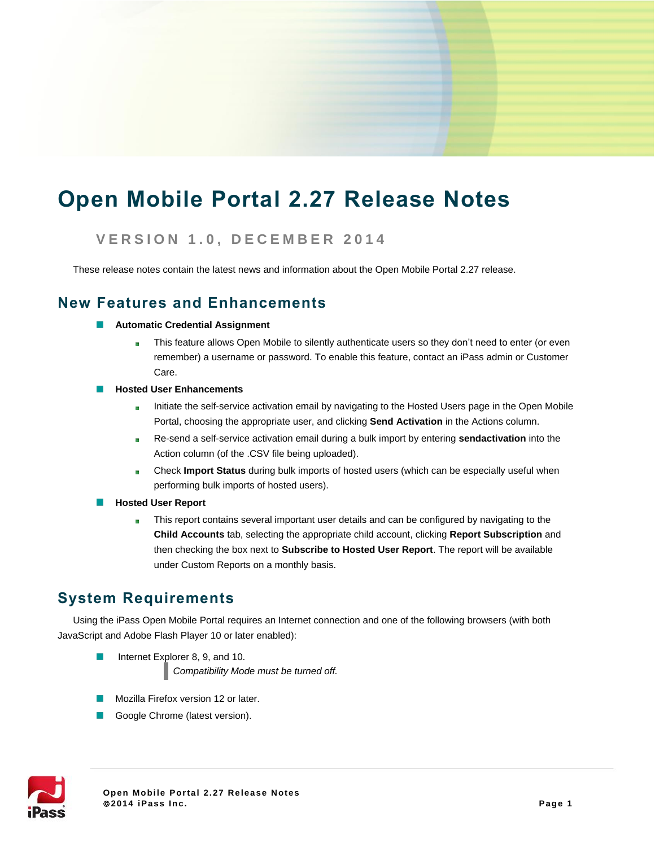# **Open Mobile Portal 2.27 Release Notes**

#### **V E R S I O N 1 . 0 , D E C E M B E R 2 0 1 4**

These release notes contain the latest news and information about the Open Mobile Portal 2.27 release.

#### **New Features and Enhancements**

- $\mathcal{C}$ **Automatic Credential Assignment**
	- This feature allows Open Mobile to silently authenticate users so they don't need to enter (or even  $\overline{a}$ remember) a username or password. To enable this feature, contact an iPass admin or Customer Care.
- **Hosted User Enhancements** 
	- Initiate the self-service activation email by navigating to the Hosted Users page in the Open Mobile  $\overline{\mathbf{r}}$ Portal, choosing the appropriate user, and clicking **Send Activation** in the Actions column.
	- Re-send a self-service activation email during a bulk import by entering **sendactivation** into the  $\mathbf{g}_k$ Action column (of the .CSV file being uploaded).
	- Check **Import Status** during bulk imports of hosted users (which can be especially useful when **B** performing bulk imports of hosted users).
- **Hosted User Report** 
	- This report contains several important user details and can be configured by navigating to the a. **Child Accounts** tab, selecting the appropriate child account, clicking **Report Subscription** and then checking the box next to **Subscribe to Hosted User Report**. The report will be available under Custom Reports on a monthly basis.

### **System Requirements**

Using the iPass Open Mobile Portal requires an Internet connection and one of the following browsers (with both JavaScript and Adobe Flash Player 10 or later enabled):

- Internet Explorer 8, 9, and 10. m. *Compatibility Mode must be turned off.*
- Mozilla Firefox version 12 or later.
- Google Chrome (latest version).

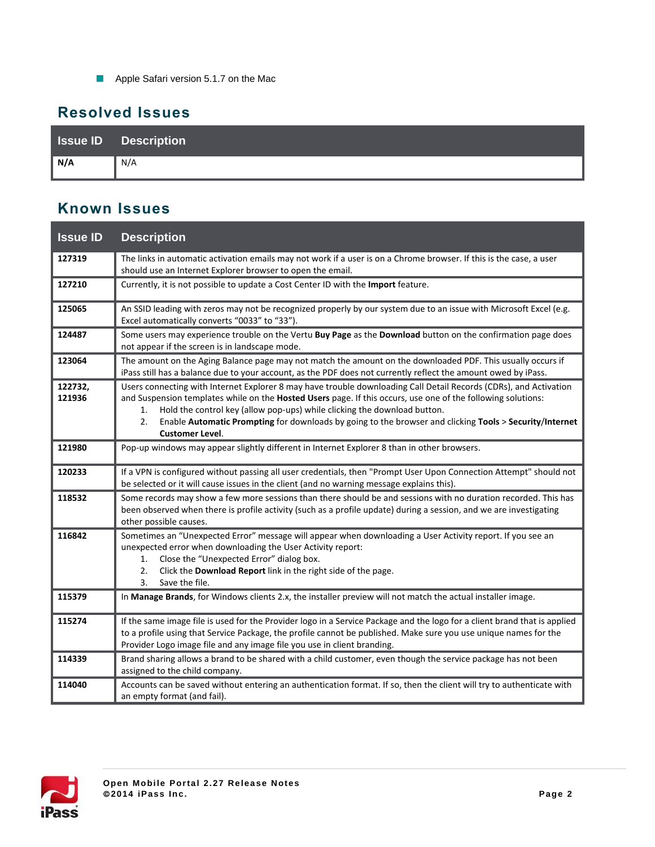Apple Safari version 5.1.7 on the Mac

### **Resolved Issues**

|     | <b>Issue ID</b> Description |
|-----|-----------------------------|
| N/A | N/A                         |

### **Known Issues**

| <b>Issue ID</b>   | <b>Description</b>                                                                                                                                                                                                                                                                                                                                                                                                                                             |
|-------------------|----------------------------------------------------------------------------------------------------------------------------------------------------------------------------------------------------------------------------------------------------------------------------------------------------------------------------------------------------------------------------------------------------------------------------------------------------------------|
| 127319            | The links in automatic activation emails may not work if a user is on a Chrome browser. If this is the case, a user<br>should use an Internet Explorer browser to open the email.                                                                                                                                                                                                                                                                              |
| 127210            | Currently, it is not possible to update a Cost Center ID with the Import feature.                                                                                                                                                                                                                                                                                                                                                                              |
| 125065            | An SSID leading with zeros may not be recognized properly by our system due to an issue with Microsoft Excel (e.g.<br>Excel automatically converts "0033" to "33").                                                                                                                                                                                                                                                                                            |
| 124487            | Some users may experience trouble on the Vertu Buy Page as the Download button on the confirmation page does<br>not appear if the screen is in landscape mode.                                                                                                                                                                                                                                                                                                 |
| 123064            | The amount on the Aging Balance page may not match the amount on the downloaded PDF. This usually occurs if<br>iPass still has a balance due to your account, as the PDF does not currently reflect the amount owed by iPass.                                                                                                                                                                                                                                  |
| 122732,<br>121936 | Users connecting with Internet Explorer 8 may have trouble downloading Call Detail Records (CDRs), and Activation<br>and Suspension templates while on the Hosted Users page. If this occurs, use one of the following solutions:<br>Hold the control key (allow pop-ups) while clicking the download button.<br>1.<br>Enable Automatic Prompting for downloads by going to the browser and clicking Tools > Security/Internet<br>2.<br><b>Customer Level.</b> |
| 121980            | Pop-up windows may appear slightly different in Internet Explorer 8 than in other browsers.                                                                                                                                                                                                                                                                                                                                                                    |
| 120233            | If a VPN is configured without passing all user credentials, then "Prompt User Upon Connection Attempt" should not<br>be selected or it will cause issues in the client (and no warning message explains this).                                                                                                                                                                                                                                                |
| 118532            | Some records may show a few more sessions than there should be and sessions with no duration recorded. This has<br>been observed when there is profile activity (such as a profile update) during a session, and we are investigating<br>other possible causes.                                                                                                                                                                                                |
| 116842            | Sometimes an "Unexpected Error" message will appear when downloading a User Activity report. If you see an<br>unexpected error when downloading the User Activity report:<br>Close the "Unexpected Error" dialog box.<br>1.<br>Click the <b>Download Report</b> link in the right side of the page.<br>2.<br>Save the file.<br>3 <sub>1</sub>                                                                                                                  |
| 115379            | In Manage Brands, for Windows clients 2.x, the installer preview will not match the actual installer image.                                                                                                                                                                                                                                                                                                                                                    |
| 115274            | If the same image file is used for the Provider logo in a Service Package and the logo for a client brand that is applied<br>to a profile using that Service Package, the profile cannot be published. Make sure you use unique names for the<br>Provider Logo image file and any image file you use in client branding.                                                                                                                                       |
| 114339            | Brand sharing allows a brand to be shared with a child customer, even though the service package has not been<br>assigned to the child company.                                                                                                                                                                                                                                                                                                                |
| 114040            | Accounts can be saved without entering an authentication format. If so, then the client will try to authenticate with<br>an empty format (and fail).                                                                                                                                                                                                                                                                                                           |

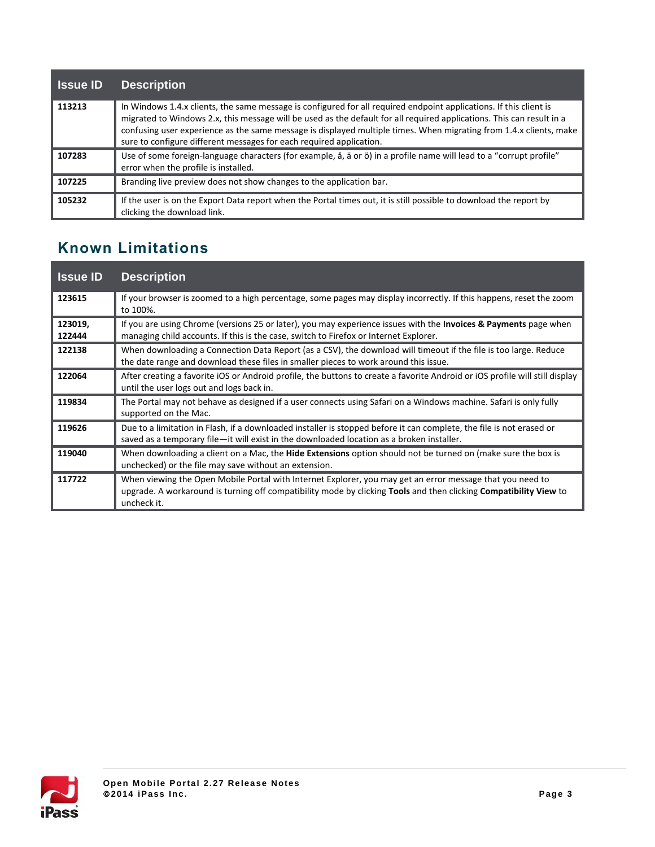| <b>Issue ID</b> | <b>Description</b>                                                                                                                                                                                                                                                                                                                                                                                                                       |
|-----------------|------------------------------------------------------------------------------------------------------------------------------------------------------------------------------------------------------------------------------------------------------------------------------------------------------------------------------------------------------------------------------------------------------------------------------------------|
| 113213          | In Windows 1.4.x clients, the same message is configured for all required endpoint applications. If this client is<br>migrated to Windows 2.x, this message will be used as the default for all required applications. This can result in a<br>confusing user experience as the same message is displayed multiple times. When migrating from 1.4.x clients, make<br>sure to configure different messages for each required application. |
| 107283          | Use of some foreign-language characters (for example, å, ä or ö) in a profile name will lead to a "corrupt profile"<br>error when the profile is installed.                                                                                                                                                                                                                                                                              |
| 107225          | Branding live preview does not show changes to the application bar.                                                                                                                                                                                                                                                                                                                                                                      |
| 105232          | If the user is on the Export Data report when the Portal times out, it is still possible to download the report by<br>clicking the download link.                                                                                                                                                                                                                                                                                        |

## **Known Limitations**

| <b>Issue ID</b>   | <b>Description</b>                                                                                                                                                                                                                            |
|-------------------|-----------------------------------------------------------------------------------------------------------------------------------------------------------------------------------------------------------------------------------------------|
| 123615            | If your browser is zoomed to a high percentage, some pages may display incorrectly. If this happens, reset the zoom<br>to 100%.                                                                                                               |
| 123019,<br>122444 | If you are using Chrome (versions 25 or later), you may experience issues with the <b>Invoices &amp; Payments</b> page when<br>managing child accounts. If this is the case, switch to Firefox or Internet Explorer.                          |
| 122138            | When downloading a Connection Data Report (as a CSV), the download will timeout if the file is too large. Reduce<br>the date range and download these files in smaller pieces to work around this issue.                                      |
| 122064            | After creating a favorite iOS or Android profile, the buttons to create a favorite Android or iOS profile will still display<br>until the user logs out and logs back in.                                                                     |
| 119834            | The Portal may not behave as designed if a user connects using Safari on a Windows machine. Safari is only fully<br>supported on the Mac.                                                                                                     |
| 119626            | Due to a limitation in Flash, if a downloaded installer is stopped before it can complete, the file is not erased or<br>saved as a temporary file-it will exist in the downloaded location as a broken installer.                             |
| 119040            | When downloading a client on a Mac, the <b>Hide Extensions</b> option should not be turned on (make sure the box is<br>unchecked) or the file may save without an extension.                                                                  |
| 117722            | When viewing the Open Mobile Portal with Internet Explorer, you may get an error message that you need to<br>upgrade. A workaround is turning off compatibility mode by clicking Tools and then clicking Compatibility View to<br>uncheck it. |